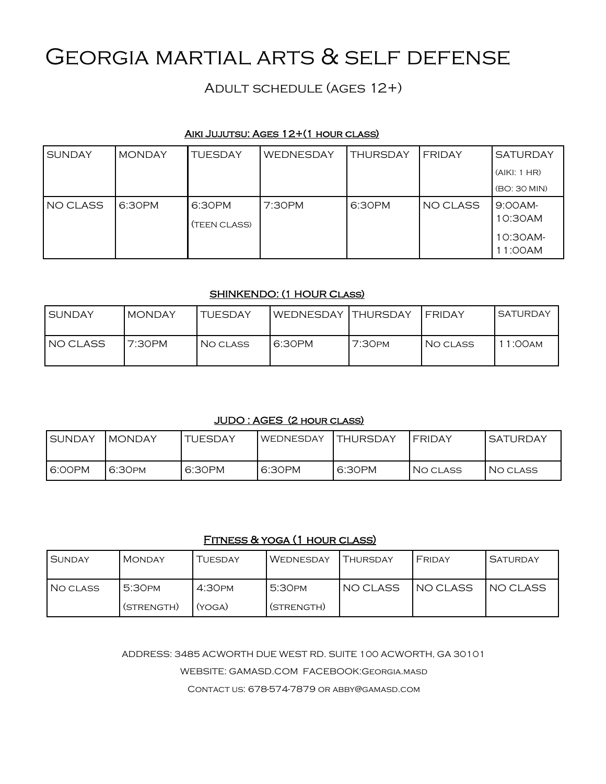# Georgia martial arts & self defense

Adult schedule (ages 12+)

## Aiki Jujutsu: Ages 12+(1 hour class)

| <b>SUNDAY</b> | <b>MONDAY</b> | <b>TUESDAY</b>         | WEDNESDAY | <b>THURSDAY</b> | FRIDAY   | <b>SATURDAY</b>                         |
|---------------|---------------|------------------------|-----------|-----------------|----------|-----------------------------------------|
|               |               |                        |           |                 |          | (AIKI: 1 HR)                            |
|               |               |                        |           |                 |          | (BO: 30 MIN)                            |
| NO CLASS      | 6:30PM        | 6:30PM<br>(TEEN CLASS) | 7:30PM    | 6:30PM          | NO CLASS | 9:OOAM<br>10:30AM<br>10:30AM-<br>1:00AM |

## SHINKENDO: (1 HOUR Class)

| <b>SUNDAY</b> | <b>MONDAY</b> | <b>TUESDAY</b> | WEDNESDAY THURSDAY |                    | FRIDAY   | <b>SATURDAY</b> |
|---------------|---------------|----------------|--------------------|--------------------|----------|-----------------|
| INO CLASS     | 7:30PM        | NO CLASS       | 6:30PM             | 7:30 <sub>PM</sub> | NO CLASS | 1:00am          |

#### JUDO : AGES (2 hour class)

| <b>I SUNDAY</b> | MONDAY  | <b>TUESDAY</b> | <b>WEDNESDAY</b> | <b>THURSDAY</b> | <b>FRIDAY</b> | <b>SATURDAY</b> |
|-----------------|---------|----------------|------------------|-----------------|---------------|-----------------|
| 6:00PM          | 6:30 PM | 6:30PM         | 6:30PM           | 6:30PM          | NO CLASS      | NO CLASS        |

# Fitness & yoga (1 hour class)

| <b>SUNDAY</b> | <b>MONDAY</b>      | TUESDAY            | <b>WEDNESDAY</b> | THURSDAY | FRIDAY    | <b>SATURDAY</b> |
|---------------|--------------------|--------------------|------------------|----------|-----------|-----------------|
| I NO CLASS    | 5:30 <sub>PM</sub> | 4:30 <sub>PM</sub> | 5:30PM           | NO CLASS | INO CLASS | INO CLASS       |
|               | (STRENGTH)         | (YOGA)             | (STRENGTH)       |          |           |                 |

ADDRESS: 3485 ACWORTH DUE WEST RD. SUITE 100 ACWORTH, GA 30101

WEBSITE: GAMASD.COM FACEBOOK:Georgia.masd

Contact us: 678-574-7879 or abby@gamasd.com